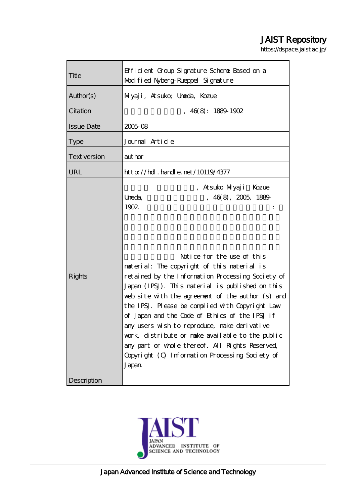# JAIST Repository

https://dspace.jaist.ac.jp/

| Title               | Efficient Group Signature Scheme Based on a<br>Modified Nyberg-Rueppel Signature                                                                                                                                                                                                                                                                                                                                                                                                                                                                                       |
|---------------------|------------------------------------------------------------------------------------------------------------------------------------------------------------------------------------------------------------------------------------------------------------------------------------------------------------------------------------------------------------------------------------------------------------------------------------------------------------------------------------------------------------------------------------------------------------------------|
| Author(s)           | Miyaji, Atsuko; Uneda, Kozue                                                                                                                                                                                                                                                                                                                                                                                                                                                                                                                                           |
| Citation            | 46(8): 1889 1902                                                                                                                                                                                                                                                                                                                                                                                                                                                                                                                                                       |
| <b>Issue Date</b>   | 2005 08                                                                                                                                                                                                                                                                                                                                                                                                                                                                                                                                                                |
| <b>Type</b>         | Journal Article                                                                                                                                                                                                                                                                                                                                                                                                                                                                                                                                                        |
| <b>Text version</b> | author                                                                                                                                                                                                                                                                                                                                                                                                                                                                                                                                                                 |
| URL                 | $http$ // $hdl$ . handle. net/10119/4377                                                                                                                                                                                                                                                                                                                                                                                                                                                                                                                               |
| <b>Rights</b>       | , Atsuko Milyaji Kozue<br>Uneda,<br>, 46(8), 2005, 1889<br>1902<br>Notice for the use of this<br>material: The copyright of this material is<br>retained by the Information Processing Society of<br>Japan (IPSJ). This material is published on this<br>web site with the agreement of the author (s) and<br>the IPSJ. Please be complied with Copyright Law<br>of Japan and the Code of Ethics of the IPSJ if<br>any users wish to reproduce, make derivative<br>work, distribute or make available to the public<br>any part or whole thereof. All Rights Reserved, |
|                     | Copyright (O Information Processing Society of<br>Japan                                                                                                                                                                                                                                                                                                                                                                                                                                                                                                                |
| Description         |                                                                                                                                                                                                                                                                                                                                                                                                                                                                                                                                                                        |

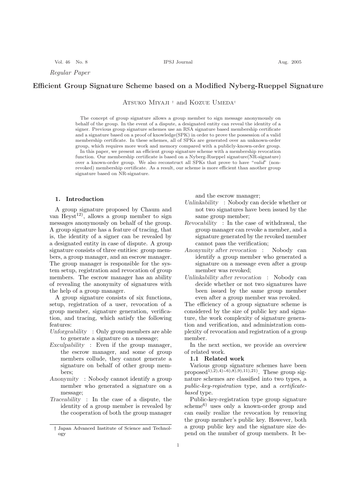Vol. 46 No. 8 IPSJ Journal Aug. 2005

Regular Paper

# Efficient Group Signature Scheme based on a Modified Nyberg-Rueppel Signature

ATSUKO MIYAJI † and KOZUE UMEDA<sup>†</sup>

The concept of group signature allows a group member to sign message anonymously on behalf of the group. In the event of a dispute, a designated entity can reveal the identity of a signer. Previous group signature schemes use an RSA signature based membership certificate and a signature based on a proof of knowledge(SPK) in order to prove the possession of a valid membership certificate. In these schemes, all of SPKs are generated over an unknown-order group, which requires more work and memory compared with a publicly-known-order group. In this paper, we present an efficient group signature scheme with a membership revocation function. Our membership certificate is based on a Nyberg-Rueppel signature(NR-signature) over a known-order group. We also reconstruct all SPKs that prove to have "valid" (nonrevoked) membership certificate. As a result, our scheme is more efficient than another group signature based on NR-signature.

## 1. Introduction

A group signature proposed by Chaum and van  $\text{Heyst}^{12}$ , allows a group member to sign messages anonymously on behalf of the group. A group signature has a feature of tracing, that is, the identity of a signer can be revealed by a designated entity in case of dispute. A group signature consists of three entities: group members, a group manager, and an escrow manager. The group manager is responsible for the system setup, registration and revocation of group members. The escrow manager has an ability of revealing the anonymity of signatures with the help of a group manager.

A group signature consists of six functions, setup, registration of a user, revocation of a group member, signature generation, verification, and tracing, which satisfy the following features:

- Unforgeability : Only group members are able to generate a signature on a message;
- Exculpability : Even if the group manager, the escrow manager, and some of group members collude, they cannot generate a signature on behalf of other group members;
- Anonymity : Nobody cannot identify a group member who generated a signature on a message;
- Traceability : In the case of a dispute, the identity of a group member is revealed by the cooperation of both the group manager

and the escrow manager;

- Unlinkability : Nobody can decide whether or not two signatures have been issued by the same group member;
- Revocability : In the case of withdrawal, the group manager can revoke a member, and a signature generated by the revoked member cannot pass the verification;
- Anonymity after revocation : Nobody can identify a group member who generated a signature on a message even after a group member was revoked;
- Unlinkability after revocation : Nobody can decide whether or not two signatures have been issued by the same group member even after a group member was revoked.

The efficiency of a group signature scheme is considered by the size of public key and signature, the work complexity of signature generation and verification, and administration complexity of revocation and registration of a group member.

In the next section, we provide an overview of related work.

#### 1.1 Related work

Various group signature schemes have been proposed<sup>1),2),4)</sup>∼6),8),9),11),21). These group signature schemes are classified into two types, a public-key-registration type, and a certificatebased type.

Public-key-registration type group signature scheme6) uses only a known-order group and can easily realize the revocation by removing the group member's public key. However, both a group public key and the signature size depend on the number of group members. It be-

<sup>†</sup> Japan Advanced Institute of Science and Technology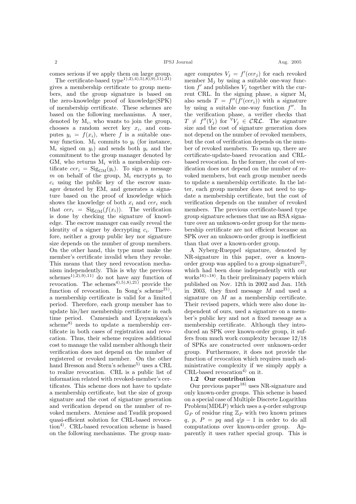comes serious if we apply them on large group.

The certificate-based type<sup>1</sup>),2),4),5),8),9),11),21) gives a membership certificate to group members, and the group signature is based on the zero-knowledge proof of knowledge(SPK) of membership certificate. These schemes are based on the following mechanisms. A user, denoted by  $M_i$ , who wants to join the group, chooses a random secret key  $x_i$ , and computes  $y_i = f(x_i)$ , where f is a suitable oneway function.  $M_i$  commits to  $y_i$  (for instance,  $M_i$  signed on  $y_i$ ) and sends both  $y_i$  and the commitment to the group manager denoted by GM, who returns  $M_i$  with a membership certificate  $cer_i = \text{Sig}_{\text{GM}}(y_i)$ . To sign a message m on behalf of the group,  $M_i$  encrypts  $y_i$  to  $c_i$  using the public key of the escrow manager denoted by EM, and generates a signature based on the proof of knowledge which shows the knowledge of both  $x_i$  and cer<sub>i</sub> such that  $cer_i = \text{Sig}_{\text{CM}}(f(x_i))$ . The verification is done by checking the signature of knowledge. The escrow manager can easily reveal the identity of a signer by decrypting  $c_i$ . Therefore, neither a group public key nor signature size depends on the number of group members. On the other hand, this type must make the member's certificate invalid when they revoke. This means that they need revocation mechanism independently. This is why the previous schemes<sup>1),2</sup>),9),11) do not have any function of revocation. The schemes<sup> $(4)$ ,5),8),21)</sup> provide the function of revocation. In Song's scheme<sup>21</sup>, a membership certificate is valid for a limited period. Therefore, each group member has to update his/her membership certificate in each time period. Camenisch and Lysyanskaya's scheme<sup>8)</sup> needs to update a membership certificate in both cases of registration and revocation. Thus, their scheme requires additional cost to manage the valid member although their verification does not depend on the number of registered or revoked member. On the other hand Bresson and Stern's scheme<sup>5)</sup> uses a CRL to realize revocation. CRL is a public list of information related with revoked-member's certificates. This scheme does not have to update a membership certificate, but the size of group signature and the cost of signature generation and verification depend on the number of revoked members. Ateniese and Tsudik proposed quasi-efficient solution for CRL-based revocation4). CRL-based revocation scheme is based on the following mechanisms. The group man-

ager computes  $V_j = f'(cer_j)$  for each revoked member  $M_j$  by using a suitable one-way function  $f'$  and publishes  $V_j$  together with the current CRL. In the signing phase, a signer  $M_i$ also sends  $T = f''(f'(cer_i))$  with a signature by using a suitable one-way function  $f''$ . In the verification phase, a verifier checks that  $T \neq f''(V_j)$  for  $\forall V_j \in \mathcal{CRL}$ . The signature size and the cost of signature generation does not depend on the number of revoked members, but the cost of verification depends on the number of revoked members. To sum up, there are certificate-update-based revocation and CRLbased revocation. In the former, the cost of verification does not depend on the number of revoked members, but each group member needs to update a membership certificate. In the latter, each group member does not need to update a membership certificate, but the cost of verification depends on the number of revoked members. The previous certificate-based type group signature schemes that use an RSA signature over an unknown-order group for the membership certificate are not efficient because an SPK over an unknown-order group is inefficient than that over a known-order group.

A Nyberg-Rueppel signature, denoted by NR-signature in this paper, over a knownorder group was applied to a group signature<sup>2</sup>, which had been done independently with our works16)∼18). In their preliminary papers which published on Nov. 12th in 2002 and Jan. 15th in 2003, they fixed message M and used a signature on  $M$  as a membership certificate. Their revised papers, which were also done independent of ours, used a signature on a member's public key and not a fixed message as a membership certificate. Although they introduced an SPK over known-order group, it suffers from much work complexity because 12/18 of SPKs are constructed over unknown-order group. Furthermore, it does not provide the function of revocation which requires much administrative complexity if we simply apply a CRL-based revocation<sup> $4$ )</sup> on it.

## 1.2 Our contribution

Our previous paper<sup>18)</sup> uses NR-signature and only known-order groups. This scheme is based on a special case of Multiple Discrete Logarithm Problem(MDLP) which uses a q-order subgroup  $\mathbb{G}_P$  of residue ring  $\mathbb{Z}_P$  with two known primes q, p,  $P = pq$  and  $q|p-1$  in order to do all computations over known-order group. Apparently it uses rather special group. This is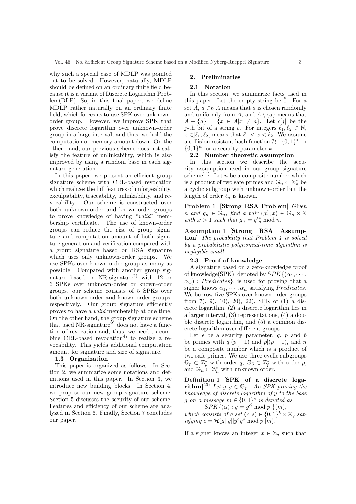why such a special case of MDLP was pointed out to be solved. However, naturally, MDLP should be defined on an ordinary finite field because it is a variant of Discrete Logarithm Problem(DLP). So, in this final paper, we define MDLP rather naturally on an ordinary finite field, which forces us to use SPK over unknownorder group. However, we improve SPK that prove discrete logarithm over unknown-order group in a large interval, and thus, we hold the computation or memory amount down. On the other hand, our previous scheme does not satisfy the feature of unlinkability, which is also improved by using a random base in each signature generation.

In this paper, we present an efficient group signature scheme with CRL-based revocation which realizes the full features of unforgeability, exculpability, traceability, unlinkability, and revocability. Our scheme is constructed over both unknown-order and known-order groups to prove knowledge of having "valid" membership certificate. The use of known-order groups can reduce the size of group signature and computation amount of both signature generation and verification compared with a group signature based on RSA signature which uses only unknown-order groups. We use SPKs over known-order group as many as possible. Compared with another group signature based on NR-signature<sup>2)</sup> with 12 or 6 SPKs over unknown-order or known-order groups, our scheme consists of 5 SPKs over both unknown-order and known-order groups, respectively. Our group signature efficiently proves to have a valid membership at one time. On the other hand, the group signature scheme that used NR-signature<sup>2)</sup> does not have a function of revocation and, thus, we need to combine CRL-based revocation<sup>4)</sup> to realize a revocability. This yields additional computation amount for signature and size of signature.

#### 1.3 Organization

This paper is organized as follows. In Section 2, we summarize some notations and definitions used in this paper. In Section 3, we introduce new building blocks. In Section 4, we propose our new group signature scheme. Section 5 discusses the security of our scheme. Features and efficiency of our scheme are analyzed in Section 6. Finally, Section 7 concludes our paper.

## 2. Preliminaries

#### 2.1 Notation

In this section, we summarize facts used in this paper. Let the empty string be  $\tilde{0}$ . For a set  $A, a \in_R A$  means that a is chosen randomly and uniformly from  $A,$  and  $A\setminus\{a\}$  means that  $A - \{a\} = \{x \in A | x \neq a\}.$  Let  $c[j]$  be the j-th bit of a string c. For integers  $\ell_1, \ell_2 \in \mathbb{N}$ ,  $x \in \ell_1, \ell_2$  means that  $\ell_1 < x < \ell_2$ . We assume a collision resistant hash function  $\mathcal{H} : \{0,1\}^* \to$  $\{0,1\}^k$  for a security parameter k.

## 2.2 Number theoretic assumption

In this section we describe the security assumption used in our group signature scheme<sup>14)</sup>. Let *n* be a composite number which is a product of two safe primes and  $\mathbb{G}_n \subset \mathbb{Z}_n^*$  be a cyclic subgroup with unknown-order but the length of order  $\ell_n$  is known.

Problem 1 [Strong RSA Problem] Given n and  $g_n \in \mathbb{G}_n$ , find a pair  $(g'_n, x) \in \mathbb{G}_n \times \mathbb{Z}$ with  $x > 1$  such that  $g_n = g'^{x}_{n} \mod n$ .

Assumption 1 [Strong RSA Assumption] The probability that Problem 1 is solved by a probabilistic polynomial-time algorithm is negligible small.

## 2.3 Proof of knowledge

A signature based on a zero-knowledge proof of knowledge(SPK), denoted by  $SPK{\{\alpha_1,\cdots,\}}$  $\alpha_w$ ) : Predicates, is used for proving that a signer knows  $\alpha_1, \cdots, \alpha_w$  satisfying *Predicates*. We borrow five SPKs over known-order groups from 7), 9), 10), 20), 22), SPK of (1) a discrete logarithm, (2) a discrete logarithm lies in a larger interval, (3) representations, (4) a double discrete logarithm, and (5) a common discrete logarithm over different groups.

Let  $\epsilon$  be a security parameter, q, p and  $\tilde{p}$ be primes with  $q|(p-1)$  and  $p|(\tilde{p}-1)$ , and n be a composite number which is a product of two safe primes. We use three cyclic subgroups  $\mathbb{G}_p \subset \mathbb{Z}_p^*$  with order  $q, \mathbb{G}_{\tilde{p}} \subset \mathbb{Z}_{\tilde{p}}^*$  with order p, and  $\mathbb{G}_n \subset \mathbb{Z}_n^*$  with unknown order.

Definition 1 [SPK of a discrete logarithm]<sup>20)</sup> Let  $g, y \in \mathbb{G}_p$ . An SPK proving the knowledge of discrete logarithm of y to the base g on a message  $m \in \{0,1\}^*$  is denoted as

 $SPK(\alpha): y = g^{\alpha} \mod p \}(m),$ 

which consists of a set  $(c, s) \in \{0, 1\}^k \times \mathbb{Z}_q$  satisfying  $c = \mathcal{H}(g||y||y^c g^s \mod p||m)$ .

If a signer knows an integer  $x \in \mathbb{Z}_q$  such that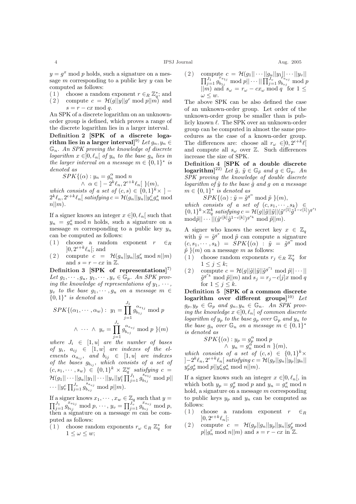$y = g^x \mod p$  holds, such a signature on a message  $m$  corresponding to a public key  $y$  can be computed as follows:

(1) choose a random exponent  $r \in_R \mathbb{Z}_q^*$ ; and  $(2)$  compute  $c = \mathcal{H}(g||y||g^r \bmod p||m)$  and  $s = r - cx \mod q$ .

An SPK of a discrete logarithm on an unknownorder group is defined, which proves a range of the discrete logarithm lies in a larger interval.

Definition 2 [SPK of a discrete logarithm lies in a larger interval<sup>[9]</sup> Let  $q_n, y_n \in$  $\mathbb{G}_n$ . An SPK proving the knowledge of discrete logarithm  $x \in ]0, \ell_n[$  of  $y_n$  to the base  $g_n$  lies in the larger interval on a message  $m \in \{0,1\}^*$  is denoted as

$$
SPK\{(\alpha) : y_n = g_n^{\alpha} \bmod n
$$

 $\wedge \ \alpha \in \left] -2^k \ell_n, 2^{\epsilon+k} \ell_n \right[ \ \}(m),$ which consists of a set of  $(c, s) \in \{0, 1\}^k \times \]$  –  $2^k\ell_n, 2^{\epsilon+k}\ell_n[$  satisfying  $c = \mathcal{H}(g_n||y_n||y_n^c g_n^s \bmod$  $n||m$ .

If a signer knows an integer  $x \in ]0, \ell_n[$  such that  $y_n = g_n^x \mod n$  holds, such a signature on a message m corresponding to a public key  $y_n$ can be computed as follows:

- (1) choose a random exponent  $r \in R$  $]0, 2^{\epsilon+k}\ell_n[; \text{ and}$
- (2) compute  $c = \mathcal{H}(g_n||g_n||g_n^r \bmod n||m)$ and  $s = r - cx$  in  $\mathbb{Z}$ .

Definition 3 [SPK of representations]<sup>7)</sup> Let  $g_1, \dots, g_u, y_1, \dots, y_v \in \mathbb{G}_p$ . An SPK proving the knowledge of representations of  $y_1, \cdots,$  $y_v$  to the base  $g_1, \dots, g_u$  on a message  $m \in$  ${0,1}^*$  is denoted as

$$
SPK\{(\alpha_1, \cdots, \alpha_w): y_1 = \prod_{j=1}^{J_1} g_{b_{1j}}^{\alpha_{a_{1j}}} \bmod p
$$

$$
\wedge \cdots \wedge y_v = \prod_{j=1}^{J_v} g_{b_{vj}}^{\alpha_{a_{vj}}} \bmod p \quad \text{{\{m\}}}
$$

where  $J_i \in [1, u]$  are the number of bases of  $y_i$ ,  $a_{ij} \in [1, w]$  are indexes of the elements  $\alpha_{a_{ij}},$  and  $b_{ij} \in [1, u]$  are indexes of the bases  $g_{b_{ij}}$ , which consists of a set of  $(c, s_1, \dots, s_w) \in \{0,1\}^k \times \mathbb{Z}_q^w$  satisfying  $c =$  $\mathcal{H}(g_1||\cdots||g_u||y_1||\cdots||y_v||y_1^c\prod_{j=1}^{J_1}g_{b_{1j}}^{s_{a_{1j}}} \bmod p||$  $\cdots ||y_v^c \prod_{j=1}^{J_v} g_{b_{vj}}^{s_{a_{vj}}} \bmod p || m).$ 

If a signer knows  $x_1, \dots, x_w \in \mathbb{Z}_q$  such that  $y = \prod_{j=1}^{J_1} g_{b_{1j}}^{x_{a_{1j}}} \mod p, \dots, y_v = \prod_{j=1}^{J_v} g_{b_{vj}}^{x_{a_{vj}}} \mod p,$ then a signature on a message  $m$  can be computed as follows:

(1) choose random exponents  $r_{\omega} \in_R \mathbb{Z}_q^*$  for  $1 \leq \omega \leq w$ ;

(2) compute 
$$
c = \mathcal{H}(g_1 || \cdots || g_u || g_1 || \cdots || g_v ||
$$

$$
\prod_{j=1}^{J_1} g_{b_{1j}}^{r_{a_{1j}}} \mod p || \cdots || \prod_{j=1}^{J_v} g_{b_{vj}}^{r_{a_{vj}}} \mod p
$$
 $||m|$  and  $s_{\omega} = r_{\omega} - cx_{\omega} \mod q$  for  $1 \leq \omega \leq w$ .

The above SPK can be also defined the case of an unknown-order group. Let order of the unknown-order group be smaller than is publicly known  $\ell$ . The SPK over an unknown-order group can be computed in almost the same procedures as the case of a known-order group. The differences are: choose all  $r_{\omega} \in ]0, 2^{\epsilon+k} \ell[$ and compute all  $s_{\omega}$  over  $\mathbb{Z}$ . Such differences increase the size of SPK.

Definition 4 [SPK of a double discrete logarithm]<sup>22)</sup> Let  $\tilde{g}$ ,  $\tilde{y} \in \mathbb{G}_{\tilde{p}}$  and  $g \in \mathbb{G}_{p}$ . An SPK proving the knowledge of double discrete logarithm of  $\tilde{y}$  to the base  $\tilde{g}$  and g on a message  $m \in \{0,1\}^*$  is denoted as

$$
SPK\{(\alpha) : \tilde{y} = \tilde{g}^{g^{\alpha}} \text{ mod } \tilde{p} \,\},\
$$
  
which consists of a set of  $(c, s_1, \dots, s_k) \in$   
 $\{0, 1\}^k \times \mathbb{Z}^k$  satisfying  $c = \mathcal{H}(a||\tilde{a}||\tilde{u}|||\tilde{u}||\tilde{a}^{-1}e^{[1]})$ 

 $\{0,1\}^k\times\mathbb{Z}_q^k$  satisfying  $c=\mathcal{H}(g||\tilde{g}||\tilde{y}||(\tilde{y}^{c[1]}\tilde{g}))$  $\left( \begin{smallmatrix} 1 & 0 \ 1 & -c \end{smallmatrix} \right)$  $\text{mod} \tilde{p} || \cdots || (\tilde{y}^{c[k]} \tilde{g}^{1-c[k]})^{g^{s_k}} \text{ mod } \tilde{p} || m).$ 

A signer who knows the secret key  $x \in \mathbb{Z}_q$ with  $\tilde{y} = \tilde{g}^{g^x} \text{ mod } \tilde{p}$  can compute a signature  $(c, s_1, \cdots, s_k) = \frac{\dot{S}}{S} P K \{ (\alpha) : \tilde{y} = \tilde{g}^{\tilde{g}^{\alpha}} \mod$  $\tilde{p} \}(m)$  on a message m as follows:

- (1) choose random exponents  $r_j \in_R \mathbb{Z}_q^*$  for  $1 \leq j \leq k$ ;
- (2) compute  $c = \mathcal{H}(g||\tilde{g}||\tilde{y}||\tilde{g}^{g^{r_1}} \mod \tilde{p}||\cdots||)$  $\tilde{g}^{g^{rk}}$  mod  $\tilde{p}||m$ ) and  $s_j = r_j - c[j]x \mod q$ for  $1 \leq j \leq k$ .

Definition 5 [SPK of a common discrete logarithm over different groups<sup>[10]</sup> Let  $g_p, y_p \in \mathbb{G}_p$  and  $g_n, y_n \in \mathbb{G}_n$ . An SPK proving the knowledge  $x \in ]0, \ell_n[$  of common discrete logarithm of  $y_p$  to the base  $g_p$  over  $\mathbb{G}_p$  and  $y_n$  to the base  $g_n$  over  $\mathbb{G}_n$  on a message  $m \in \{0,1\}^*$ is denoted as

$$
SPK\{(\alpha) : y_p = g_p^{\alpha} \bmod p
$$
  

$$
\wedge \ y_n = g_n^{\alpha} \bmod n \ \}(m),
$$

which consists of a set of  $(c, s) \in \{0, 1\}^k \times$  $]-2^k\ell_n, 2^{\epsilon+k}\ell_n[$  satisfying  $c = \mathcal{H}(g_p||g_n||y_p||y_n||)$  $y_p^c g_p^s \bmod p || y_n^c g_n^s \bmod n || m).$ 

If a signer knows such an integer  $x \in ]0, \ell_n[$ , in which both  $y_p = g_p^x \mod p$  and  $y_n = g_n^x \mod n$ hold, a signature on a message  $m$  corresponding to public keys  $y_p$  and  $y_n$  can be computed as follows:

- (1) choose a random exponent  $r \in R$  $]0, 2^{\epsilon+k}\ell_n[;$
- (2) compute  $c = \mathcal{H}(g_p||g_n||y_p||y_n||g_p^r \mod$  $p||g_n^r \bmod n||m)$  and  $s = r - cx$  in Z.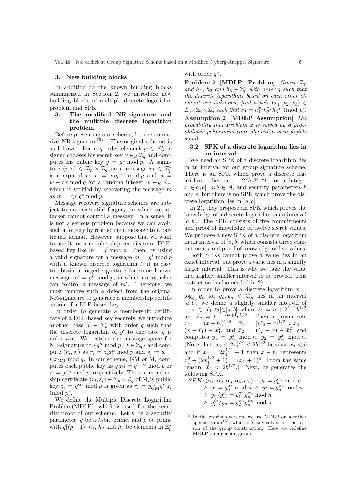## 3. New building blocks

In addition to the known building blocks summarized in Section 2, we introduce new building blocks of multiple discrete logarithm problem and SPK.

## 3.1 The modified NR-signature and the multiple discrete logarithm problem

Before presenting our scheme, let us summarize NR-signature<sup>19</sup>). The original scheme is as follows. For a q-order element  $g \in \mathbb{Z}_p^*$ , a signer chooses his secret key  $x \in_R \mathbb{Z}_q$  and computes his public key  $y = g^x \mod p$ . A signature  $(r, s) \in \mathbb{Z}_p \times \mathbb{Z}_q$  on a message  $m \in \mathbb{Z}_p^*$ is computed as  $r = mg^{-w} \mod p$  and  $s =$  $w - rx \mod q$  for a random integer  $w \in_R \mathbb{Z}_q$ , which is verified by recovering the message  $m$ as  $m = ry^r g^s \mod p$ .

Message recovery signature schemes are subject to an existential forgery, in which an attacker cannot control a message. In a sense, it is not a serious problem because we can avoid such a forgery by restricting a message to a particular format. However, suppose that we want to use it for a membership certificate of DLPbased key like  $m = g^t \mod p$ . Then, by using a valid signature for a message  $m = g^t \mod p$ with a known discrete logarithm  $t$ , it is easy to obtain a forged signature for some known message  $m' = g^{t'} \mod p$ , in which an attacker can control a message of  $m'$ . Therefore, we must remove such a defect from the original NR-signature to generate a membership certification of a DLP-based key.

In order to generate a membership certificate of a DLP-based key securely, we introduce another base  $g' \in \mathbb{Z}_p^*$  with order q such that the discrete logarithm of  $g'$  to the base g is unknown. We restrict the message space for NR-signature to  $\{g'^t \mod p \mid t \in \mathbb{Z}_q\}$  and compute  $(r_i, s_i)$  as  $r_i = z_i g_1^w \mod p$  and  $s_i = w$  $r_i x_{\text{GM}}$  mod q. In our scheme, GM or  $M_i$  computes each public key as  $y_{\text{GM}} = g^{x_{\text{GM}}} \mod p$  or  $z_i = g'^{x_i} \mod p$ , respectively. Then, a membership certificate  $(r_i, s_i) \in \mathbb{Z}_p \times \mathbb{Z}_q$  of  $M_i$ 's public key  $z_i = g^{\prime x_i} \mod p$  is given as  $r_i = y_{\text{GM}}^{r_i} g^{s_i} z_i$  $\pmod{p}$ .

We define the Multiple Discrete Logarithm Problem(MDLP), which is used for the security proof of our scheme. Let  $k$  be a security parameter, q be a  $k$ -bit prime, and  $p$  be prime with  $q|(p-1)$ ,  $h_1$ ,  $h_2$  and  $h_3$  be elements in  $\mathbb{Z}_p^*$ 

## with order  $q$ .

Problem 2 [MDLP Problem] Given  $\mathbb{Z}_p$ and  $h_1$ ,  $h_2$  and  $h_3 \in \mathbb{Z}_p^*$  with order q such that the discrete logarithms based on each other element are unknown, find a pair  $(x_1, x_2, x_3) \in$  $\mathbb{Z}_p\times\mathbb{Z}_q\times\mathbb{Z}_q$  such that  $x_1=h_1^{\tilde{x}_1}h_2^{x_2}h_3^{x_3} \pmod{p}$ . Assumption 2 [MDLP Assumption] The probability that Problem 2 is solved by a probabilistic polynomial-time algorithm is negligible small.

## 3.2 SPK of a discrete logarithm lies in an interval

We need an SPK of a discrete logarithm lies in an interval for our group signature scheme. There is an SPK which prove a discrete logarithm x lies in  $]-2^kb,2^{e+k}b[$  for a integer  $x \in [a, b], a, b \in \mathbb{N}$ , and security parameters k and  $\epsilon$ , but there is no SPK which prove the discrete logarithm lies in  $[a, b]$ .

In 2), they propose an SPK which proves the knowledge of a discrete logarithm in an interval  $[a, b]$ . The SPK consists of five commitments and proof of knowledge of twelve secret values. We propose a new SPK of a discrete logarithm in an interval of  $a, b$ [ which consists three commitments and proof of knowledge of five values.

Both SPKs cannot prove a value lies in an exact interval, but prove a value lies in a slightly larger interval. This is why we take the value in a slightly smaller interval to be proved. This restriction is also needed in 2).

In order to prove a discrete logarithm  $x =$  $\log_{g_n} y_n$  for  $g_n, y_n \in \mathbb{G}_n$  lies in an interval  $[a, b]$ , we define a slightly smaller interval of  $x, x \in \ell_1, \ell_2[\subset]a, b[$  where  $\ell_1 = a + 2^{k+1}b^{1/2}$ and  $\ell_2 = b - 2^{k+1}b^{1/2}$ . Then a prover sets  $x_1 = |(x-\ell_1)^{1/2}|, \ \bar{x}_1 = |(\ell_2 - x)^{1/2}|, \ x_2 =$  $(x - \ell_1) - x_1^2$ , and  $\bar{x}_2 = (\ell_2 - x) - \bar{x}_1^2$ , and computes  $y_1 = g_n^{x_1} \bmod n$ ,  $y_2 = g_n^{\bar{x}_1} \bmod n$ . (Note that,  $x_2 \leq 2x_1^{1/2} < 2b^{1/2}$  because  $x_1 < b$ and if  $x_2 = 2x_1^{1/2} + 1$  then  $x - \ell_1$  represents  $x_1^2 + (2x_1^{1/2} + 1) = (x_1 + 1)^2$ . From the same reason,  $\bar{x}_2 < 2b^{1/2}$ .) Next, he generates the following SPK.

$$
SPK\{(\alpha_1, \alpha_2, \alpha_3, \alpha_4, \alpha_5) : y_n = g_n^{\alpha_1} \bmod n
$$
  
\n
$$
\wedge y_1 = g_n^{\alpha_2} \bmod n \wedge y_2 = g_n^{\alpha_3} \bmod n
$$
  
\n
$$
\wedge y_n / g_n^{\ell_1} = y_1^{\alpha_2} g_n^{\alpha_4} \bmod n
$$
  
\n
$$
\wedge g_n^{\ell_2} / y_n = y_2^{\alpha_3} g_n^{\alpha_5} \bmod n
$$

In the previous version, we use MDLP on a rather special group<sup>18)</sup>, which is easily solved for the reason of the group construction. Here we redefine MDLP on a general group.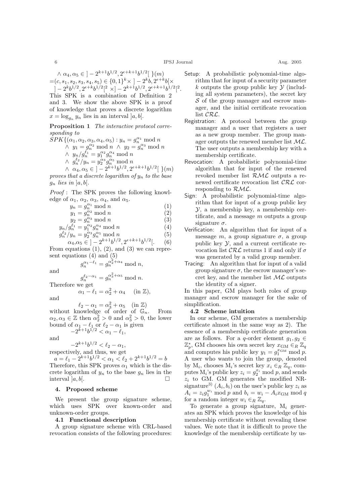#### 6 IPSJ Journal Aug. 2005

 $\wedge \alpha_4, \alpha_5 \in \left] -2^{k+1}b^{1/2}, 2^{\epsilon+k+1}b^{1/2}\right[ \left. \begin{array}{c} 1 \end{array} \right]$  $=(c, s_1, s_2, s_3, s_4, s_5) \in \{0, 1\}^k \times \big] - 2^k b, 2^{\epsilon + k} b[\times]$  $]-2^kb^{1/2},2^{\epsilon+k}b^{1/2}[^2 \times ]-2^{k+1}b^{1/2},2^{\epsilon+k+1}b^{1/2}[^2.$ This SPK is a combination of Definition 2 and 3. We show the above SPK is a proof

of knowledge that proves a discrete logarithm  $x = \log_{g_n} y_n$  lies in an interval  $]a, b[$ .

Proposition 1 The interactive protocol corresponding to

$$
\overline{SPK}(\alpha_1, \alpha_2, \alpha_3, \alpha_4, \alpha_5): y_n = g_n^{\alpha_1} \bmod n
$$

$$
\wedge \ y_1 = g_n^{\alpha_2} \bmod n \ \wedge \ y_2 = g_n^{\alpha_3} \bmod n
$$

$$
\wedge \ y_n/g_n^{\ell_1} = y_1^{\alpha_2} g_n^{\alpha_4} \bmod n
$$

$$
\wedge \ \ g_n^{\ell_2}/y_n=y_2^{\alpha_3}g_n^{\alpha_5} \bmod n
$$

$$
\begin{array}{l}\n\wedge \quad y_n \neq y_n \quad \text{mod } n \\
\wedge \quad \alpha_4, \alpha_5 \in \left] -2^{k+1} b^{1/2}, 2^{\epsilon + k + 1} b^{1/2} \right[ \left. \right] \n\end{array} (m)
$$

proves that a discrete logarithm of  $y_n$  to the base  $g_n$  lies in  $|a, b|$ .

Proof : The SPK proves the following knowledge of  $\alpha_1$ ,  $\alpha_2$ ,  $\alpha_3$ ,  $\alpha_4$ , and  $\alpha_5$ .

$$
y_n = g_n^{\alpha_1} \bmod n \tag{1}
$$

 $y_1 = g_n^{\alpha_2} \mod n$  (2)

$$
y_2 = g_n^{\alpha_3} \mod n \tag{3}
$$

$$
y_n / g_n^{\ell_1} = y_1^{\alpha_2} g_n^{\alpha_4} \mod n \tag{4}
$$

$$
g_n^{\ell_2}/y_n = y_2^{\alpha_3} g_n^{\alpha_5} \text{ mod } n
$$
\n
$$
\alpha_4, \alpha_5 \in ]-2^{k+1}b^{1/2}, 2^{\epsilon+k+1}b^{1/2}[. \quad (6)
$$

 $(6)$ From equations  $(1)$ ,  $(2)$ , and  $(3)$  we can represent equations  $(4)$  and  $(5)$  $g_n^{\alpha_1 - \ell_1} = g_n^{\alpha_2^2 + \alpha_4} \mod n,$ 

and

$$
g_n^{\ell_2-\alpha_1} = g_n^{\alpha_3^2+\alpha_5} \text{ mod } n.
$$

Therefore we get

 $\alpha_1 - \ell_1 = \alpha_2^2 + \alpha_4 \quad \text{(in } \mathbb{Z}),$ and

 $\ell_2 - \alpha_1 = \alpha_3^2 + \alpha_5 \quad (\text{in } \mathbb{Z})$ without knowledge of order of  $\mathbb{G}_n$ . From  $\alpha_2, \alpha_3 \in \mathbb{Z}$  then  $\alpha_2^2 > 0$  and  $\alpha_3^2 > 0$ , the lower bound of  $\alpha_1 - \ell_1$  or  $\ell_2 - \alpha_1$  is given  $-2^{k+1}b^{1/2} < \alpha_1 - \ell_1,$ 

and

$$
-2^{k+1}b^{1/2} < \ell_2 - \alpha_1,
$$
\nrespectively, and thus, we get

 $a = \ell_1 - 2^{k+1}b^{1/2} < \alpha_1 < \ell_2 + 2^{k+1}b^{1/2} = b$ Therefore, this SPK proves  $\alpha_1$  which is the dis-

crete logarithm of  $y_n$  to the base  $g_n$  lies in the interval  $[a, b]$ .

## 4. Proposed scheme

We present the group signature scheme, which uses SPK over known-order and unknown-order groups.

## 4.1 Functional description

A group signature scheme with CRL-based revocation consists of the following procedures:

- Setup: A probabilistic polynomial-time algorithm that for input of a security parameter  $k$  outputs the group public key  $\mathcal Y$  (including all system parameters), the secret key  $\mathcal S$  of the group manager and escrow manager, and the initial certificate revocation list CRL.
- Registration: A protocol between the group manager and a user that registers a user as a new group member. The group manager outputs the renewed member list ML. The user outputs a membership key with a membership certificate.
- Revocation: A probabilistic polynomial-time algorithm that for input of the renewed revoked member list RML outputs a renewed certificate revocation list CRL corresponding to RML.
- Sign: A probabilistic polynomial-time algorithm that for input of a group public key Y, a membership key, a membership certificate, and a message m outputs a group signature  $\sigma$ .
- Verification: An algorithm that for input of a message m, a group signature  $\sigma$ , a group public key  $\mathcal{Y}$ , and a current certificate revocation list  $\mathcal{CRL}$  returns 1 if and only if  $\sigma$ was generated by a valid group member.
- Tracing: An algorithm that for input of a valid group signature  $\sigma$ , the escrow manager's secret key, and the member list  $ML$  outputs the identity of a signer.

In this paper, GM plays both roles of group manager and escrow manager for the sake of simplification.

## 4.2 Scheme intuition

In our scheme, GM generates a membership certificate almost in the same way as 2). The essence of a membership certificate generation are as follows. For a q-order element  $q_1, q_2 \in$  $\mathbb{Z}_p^*$ , GM chooses his own secret key  $x_{\text{GM}} \in_R \mathbb{Z}_q$ and computes his public key  $y_1 = g_1^{x_{\text{GM}}} \mod p$ . A user who wants to join the group, denoted by  $M_i$ , chooses  $M_i$ 's secret key  $x_i \in_R \mathbb{Z}_q$ , computes  $M_i$ 's public key  $z_i = g_2^{x_i} \mod p$ , and sends  $z_i$  to GM. GM generates the modified NRsignature<sup>3)</sup>  $(A_i, b_i)$  on the user's public key  $z_i$  as  $A_i = z_i g_1^{w_i} \text{ mod } p \text{ and } b_i = w_i - A_i x_{\text{GM}} \text{ mod } q$ for a random integer  $w_i \in_R \mathbb{Z}_q$ .

To generate a group signature,  $M_i$  generates an SPK which proves the knowledge of his membership certificate without revealing these values. We note that it is difficult to prove the knowledge of the membership certificate by us-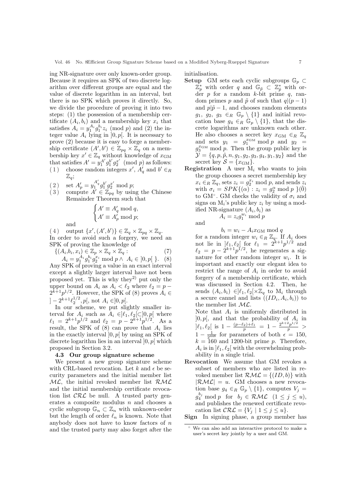ing NR-signature over only known-order group. Because it requires an SPK of two discrete logarithm over different groups are equal and the value of discrete logarithm in an interval, but there is no SPK which proves it directly. So, we divide the procedure of proving it into two steps: (1) the possession of a membership certificate  $(A_i, b_i)$  and a membership key  $x_i$  that satisfies  $A_i = y_1^{A_i} g_1^{b_i} z_i \pmod{p}$  and (2) the integer value  $A_i$  lying in  $]0,p[$ . It is necessary to prove (2) because it is easy to forge a membership certificate  $(A', b') \in \mathbb{Z}_{pq} \times \mathbb{Z}_q$  on a membership key  $x' \in \mathbb{Z}_q$  without knowledge of  $x_{\text{GM}}$ that satisfies  $A' = y_1^{A'} g_1^{b'} g_2^{x'} \pmod{p}$  as follows: (1) choose random integers  $x'$ ,  $A'_q$  and  $b' \in_R$ 

- $\mathbb{Z}_q$ ;
- (2) set  $A'_p = y_1^{A'_q} g_1^{b'} g_2^{x'} \bmod p;$
- (3) compute  $A' \in \mathbb{Z}_{pq}$  by using the Chinese Remainder Theorem such that (

$$
\begin{cases} A' \equiv A'_q \bmod q, \\ A' \equiv A'_p \bmod p; \end{cases}
$$

and

(4) output  $\{x', (A', b')\} \in \mathbb{Z}_q \times \mathbb{Z}_{pq} \times \mathbb{Z}_q$ . In order to avoid such a forgery, we need an SPK of proving the knowledge of

$$
\{ (A_i, b_i, x_i) \in \mathbb{Z}_p \times \mathbb{Z}_q \times \mathbb{Z}_q : (7) A_i = y_1^{A_i} g_1^{b_i} g_2^{x_i} \text{ mod } p \land A_i \in ]0, p[ \ \}.
$$

Any SPK of proving a value in an exact interval except a slightly larger interval have not been proposed yet. This is why they<sup>2)</sup> put only the upper bound on  $A_i$  as  $A_i < \ell_2$  where  $\ell_2 = p 2^{k+1}p^{1/2}$ . However, the SPK of (8) proves  $A_i \in$  $]-2^{k+1}\ell_2^{1/2},p[, \text{ not } A_i \in ]0,p[.$ 

In our scheme, we put slightly smaller interval for  $A_i$  such as  $A_i \in ]\ell_1, \ell_2[\subset]0, p[$  where  $\ell_1 = 2^{k+1}p^{1/2}$  and  $\ell_2 = p - 2^{k+1}p^{1/2}$ . As a result, the SPK of  $(8)$  can prove that  $A_i$  lies in the exactly interval  $[0, p]$  by using an SPK of discrete logarithm lies in an interval  $[0, p]$  which proposed in Section 3.2.

## 4.3 Our group signature scheme

We present a new group signature scheme with CRL-based revocation. Let  $k$  and  $\epsilon$  be security parameters and the initial member list  $ML$ , the initial revoked member list  $RML$ and the initial membership certificate revocation list  $CRL$  be null. A trusted party generates a composite modulus  $n$  and chooses a cyclic subgroup  $\mathbb{G}_n \subset \mathbb{Z}_n$  with unknown-order but the length of order  $\ell_n$  is known. Note that anybody does not have to know factors of  $n$ and the trusted party may also forget after the initialisation.

- Setup GM sets each cyclic subgroups  $\mathbb{G}_p \subset$  $\mathbb{Z}_p^*$  with order q and  $\mathbb{G}_{\tilde{p}} \subset \mathbb{Z}_{\tilde{p}}^*$  with order  $p$  for a random  $k$ -bit prime  $q$ , random primes p and  $\tilde{p}$  of such that  $q|(p-1)$ and  $p|\tilde{p}$  − 1, and chooses random elements  $g_1, g_2, g_3 \in_R \mathbb{G}_p \setminus \{1\}$  and initial revocation base  $g_4 \n\in_R \mathbb{G}_p \setminus \{1\}$ , that the discrete logarithms are unknown each other. He also chooses a secret key  $x_{\text{GM}} \in_R \mathbb{Z}_q$ and sets  $y_1 = g_1^{x_{\text{GM}}} \mod p$  and  $y_2 =$  $g_3^{\text{tcm}}$  mod p. Then the group public key is  $\mathcal{Y} = \{q, p, \tilde{p}, n, g_1, g_2, g_3, g_4, y_1, y_2\}$  and the secret key  $S = \{x_{\text{GM}}\}.$
- **Registration** A user  $M_i$  who wants to join the group chooses a secret membership key  $x_i \in_R \mathbb{Z}_q$ , sets  $z_i = g_2^{x_i} \mod p$ , and sends  $z_i$ with  $\sigma_i = SPK\{(\alpha): z_i = g_2^{\alpha} \bmod p \}(\tilde{0})$ to GM. GM checks the validity of  $\sigma_i$  and signs on  $M_i$ 's public key  $z_i$  by using a modified NR-signature  $(A_i, b_i)$  as  $A_i = z_i g_1^{w_i} \bmod p$

$$
\begin{array}{cc} & A_i \\ \mathbf{1} & \end{array}
$$

and  $b_i = w_i - A_i x_{\rm GM} \bmod q$ for a random integer  $w_i \in_R \mathbb{Z}_q$ . If  $A_i$  does not lie in  $]\ell_1, \ell_2[$  for  $\ell_1 = 2^{k+1}p^{1/2}$  and  $\ell_2 = p - 2^{k+1} p^{1/2}$ , he regenerates a signature for other random integer  $w_i$ . It is important and exactly our elegant idea to restrict the range of  $A_i$  in order to avoid forgery of a membership certificate, which was discussed in Section 4.2. Then, he sends  $(A_i, b_i) \in ]\ell_1, \ell_2[\times \mathbb{Z}_q$  to  $M_i$  through a secure cannel and lists  $((ID_i, A_i, b_i))$  to the member list ML.

Note that  $A_i$  is uniformly distributed in  $]0,p[$ , and that the probability of  $A_i$  in  $\left[\ell_1, \ell_2\right]$  is  $1 - \frac{(p-\ell_2)+\ell_1}{p} = 1 - \frac{2^{k+2}p^{1/2}}{p} >$  $1 - \frac{1}{2^{448}}$  for parameters of both  $\epsilon = 150$ ,  $k = 160$  and 1200-bit prime p. Therefore,  $A_i$  is in  $]\ell_1, \ell_2[$  with the overwhelming probability in a single trial.

- Revocation We assume that GM revokes a subset of members who are listed in revoked member list  $\mathcal{RML} = \{(ID, b)\}\$  with  $|\mathcal{RML}| = u$ . GM chooses a new revocation base  $g_4 \n\in_R \mathbb{G}_p \setminus \{1\}$ , computes  $V_j =$  $g_4^{b_j} \bmod p$  for  $b_j \in \mathcal{RML}$   $(1 \leq j \leq u)$ , and publishes the renewed certificate revocation list  $\mathcal{CRL} = \{V_i \mid 1 \leq j \leq u\}.$
- Sign In signing phase, a group member has

We can also add an interactive protocol to make a user's secret key jointly by a user and GM.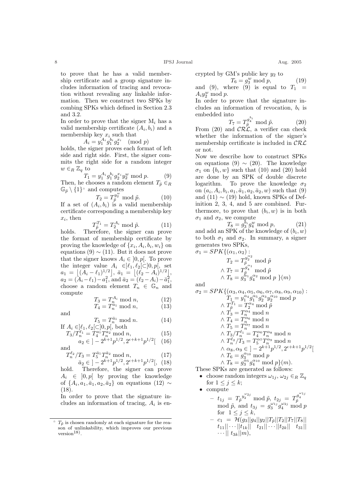to prove that he has a valid membership certificate and a group signature includes information of tracing and revocation without revealing any linkable information. Then we construct two SPKs by combing SPKs which defined in Section 2.3 and 3.2.

In order to prove that the signer  $M_i$  has a valid membership certificate  $(A_i, b_i)$  and a membership key  $x_i$  such that

$$
A_i = y_1^{A_i} g_1^{b_i} g_2^{x_i} \pmod{p}
$$

 $A_i = y_1 \ y_1 \ y_2 \ \text{(mod } p)$ <br>holds, the signer proves each format of left side and right side. First, the signer commits the right side for a random integer  $w \in_R \mathbb{Z}_q$  to

$$
T_1 = y_1^{A_i} g_1^{b_i} g_2^{x_i} y_2^w \mod p. \tag{9}
$$

Then, he chooses a random element  $T_{\tilde{p}} \in_R$  $\mathbb{G}_{\tilde{p}} \setminus \{1\}$  and computes

 $T_2 = T_{\tilde{p}}^{y_2^w} \text{ mod } \tilde{p}.$  (10) If a set of  $(A_i, b_i)$  is a valid membership certificate corresponding a membership key  $x_i$ , then

$$
T_{\tilde{p}}^{T_1} = T_2^{A_i} \text{ mod } \tilde{p}.
$$
 (11)

holds. Therefore, the signer can prove the format of membership certificate by proving the knowledge of  $\{x_i, A_i, b_i, w_i\}$  on equations (9)  $\sim$  (11). But it does not prove that the signer knows  $A_i \in [0, p]$ . To prove the integer value  $A_i \in ]\ell_1, \ell_2[\subset]0, p[,$  set  $a_1 =$ ıt<br>' eger value  $\frac{A}{(A_i - \ell_1)^{1/2}}$ ,  $\bar{a}_1 =$ ¥  $\ell_2$ [⊂]0, p[, set<br>( $\ell_2 - A_i$ )<sup>1/2</sup> ,  $a_2 = (\tilde{A}_i - \ell_1) - a_1^2$ , and  $\bar{a}_2 = (\ell_2 - A_i) - \bar{a}_1^2$ , choose a random element  $T_n \in \mathbb{G}_n$  and compute

$$
T_3 = T_n^{A_i} \text{ mod } n,
$$
 (12)  

$$
T_4 = T_n^{a_1} \text{ mod } n,
$$
 (13)

and

$$
T_5 = T_n^{\bar{a}_1} \mod n. \tag{14}
$$
  
If  $A_i \in [\ell_1, \ell_2] \subset [0, p],$  both

$$
T_3/T_n^{a_1} = T_4^{a_1} T_n^{a_2} \mod n, \tag{15}
$$
  
\n
$$
a_2 \in ]-2^{k+1}p^{1/2}, 2^{\epsilon+k+1}p^{1/2}[ \quad (16)
$$

and T

$$
\frac{\pi^{\ell_2}}{n^2} / T_3 = T_5^{\bar{a}_1} T_n^{\bar{a}_2} \mod n, \tag{17}
$$
\n
$$
\bar{a}_2 \in ]-2^{k+1}p^{1/2}, 2^{\epsilon+k+1}p^{1/2}[, (18)
$$

hold. Therefore, the signer can prove  $A_i \in [0, p]$  by proving the knowledge of  $\{A_i, a_1, \bar{a}_1, a_2, \bar{a}_2\}$  on equations  $(12) \sim$ (18).

In order to prove that the signature includes an information of tracing,  $A_i$  is encrypted by GM's public key  $y_2$  to

 $T_6 = g_3^w \bmod p,$  (19) and (9), where (9) is equal to  $T_1$  =

 $A_i y_2^w \bmod p$ . In order to prove that the signature includes an information of revocation,  $b_i$  is embedded into  $\overline{ }$ 

$$
T_7 = T_{\tilde{p}}^{g_4^{o_i}} \text{ mod } \tilde{p}.\tag{20}
$$

From (20) and  $\mathcal{CRL}$ , a verifier can check whether the information of the signer's membership certificate is included in  $\mathcal{CRL}$ or not.

Now we describe how to construct SPKs on equations (9)  $\sim$  (20). The knowledge  $\sigma_1$  on  $\{b_i, w\}$  such that (10) and (20) hold are done by an SPK of double discrete logarithm. To prove the knowledge  $\sigma_2$ on  $(a_i, A_i, b_i, a_1, \bar{a}_1, a_2, \bar{a}_2, w)$  such that  $(9)$ and (11)  $\sim$  (19) hold, known SPKs of Definition 2, 3, 4, and 5 are combined. Furthermore, to prove that  $(b_i, w)$  is in both  $\sigma_1$  and  $\sigma_2$ , we compute

 $T_8 = g_3^{\overline{b}_i} g_4^w \text{ mod } p,$  (21) and add an SPK of the knowledge of  $(b_i, w)$ to both  $\sigma_1$  and  $\sigma_2$ . In summary, a signer generates two SPKs,  $\sigma_1 = SPK\{(\alpha_1, \alpha_2)\}$ 

$$
T_2 = T_{\tilde{p}}^{g_2} \mod \tilde{p}
$$
  

$$
\land T_7 = T_{\tilde{p}}^{g_4} \mod \tilde{p}
$$
  

$$
\land T_8 = g_3^{g_1} g_4^{g_2} \mod p \quad (m)
$$

and

$$
\sigma_2 = SPK\{ (\alpha_3, \alpha_4, \alpha_5, \alpha_6, \alpha_7, \alpha_8, \alpha_9, \alpha_{10}) : \nT_1 = y_1^{\alpha_4} g_1^{\alpha_5} g_2^{\alpha_3} y_2^{\alpha_{10}} \bmod p \n\wedge T_{\tilde{p}}^{\tilde{T}_1} = T_2^{\alpha_4} \bmod \tilde{p} \n\wedge T_3 = T_n^{\alpha_6} \bmod n \n\wedge T_4 = T_n^{\alpha_6} \bmod n \n\wedge T_5 = T_n^{\alpha_7} \bmod n \n\wedge T_3/T_{n}^{\ell_1} = T_4^{\alpha_6} T_n^{\alpha_8} \bmod n \n\wedge T_{n}^{\ell_2}/T_3 = T_5^{\alpha_7} T_n^{\alpha_9} \bmod n \n\wedge \alpha_8, \alpha_9 \in ]-2^{k+1}p^{1/2}, 2^{\epsilon+k+1}p^{1/2}[\n\wedge T_6 = g_3^{\alpha_5} g_4^{\alpha_{10}} \bmod p \}(m).
$$

These SPKs are generated as follows:

- choose random integers  $\omega_{1j}, \omega_{2j} \in_R \mathbb{Z}_q$ for  $1 \leq j \leq k$ ;
- compute
	- $\begin{aligned} -t_{1j} &= T_p^{y_2^{\omega_{2j}}} \bmod \tilde{p}, t_{2j} = T_p^{g_4^{\omega_{1j}}} \\ \bmod \tilde{p}, \text{ and } t_{3j} &= g_3^{\omega_{1j}} g_4^{\omega_{2j}} \bmod p \end{aligned}$ for  $1 \leq j \leq k$ ,  $- c_1 = \mathcal{H}(g_3||g_4||y_2||T_{\tilde{p}}||T_2||T_7||T_8||$  $|t_{11}|| \cdots ||t_{1k}|| \quad t_{21}|| \cdots ||t_{2k}|| \quad t_{31}||$  $\cdots || t_{3k} || m$ ,

 $T_{\tilde{p}}$  is chosen randomly at each signature for the reason of unlinkability, which improves our previous  $version<sup>18</sup>$ .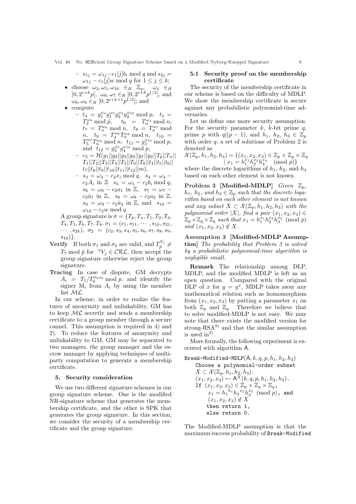$- s_{1j} = \omega_{1j} - c_1[j]b_i \text{ mod } q \text{ and } s_{2j} =$  $\omega_{1j} - c_1[j]w \mod q$  for  $1 \leq j \leq k$ ;

- choose  $\omega_3, \omega_5, \omega_{10} \in_R \mathbb{Z}_q$ ,  $\omega_4 \in_R$  $]0, 2^{\epsilon+k}p[,\ \omega_6, \omega_7 \in_R]0, 2^{\epsilon+k}p^{1/2}[,\text{ and}$  $\omega_8, \omega_9 \in_R ]0, 2^{\epsilon+k+1}p^{1/2}$ ; and
- compute

 $- t_4 = y_1^{\omega_4} g_1^{\omega_5} g_2^{\omega_3} y_2^{\omega_{10}} \bmod p, t_5 =$  $T_2^{\omega_4} \bmod \tilde{p}$ ,  $t_6 = T_n^{\omega_4} \bmod n$ ,  $t_7 = T_n^{\omega_6} \bmod n$ ,  $t_8 = T_n^{\omega_7} \bmod n$  $n, t_9 = T_4^{\omega_6} T_n^{\omega_8} \text{ mod } n, t_{10} =$  $T_5^{\omega_7} T_n^{\omega_9} \mod n$ ,  $t_{11} = g_3^{\omega_{10}} \mod p$ , and  $t_{12} = g_3^{\omega_5} g_4^{\omega_{10}} \mod p$ ,

- $-c_2 = \mathcal{H}(g_1||g_2||g_3||g_4||y_1||y_2||T_{\tilde{p}}||T_n||$  $T_1||T_2||T_3||T_4||T_5||T_6||T_8||t_4||t_5||t_6||$  $t_7||t_8||t_9||t_{10}||t_{11}||t_{12}||m$
- $s_3 = \omega_3 c_2 x_i \mod q, \ \ s_4 = \omega_4$  $c_2 A_i$  in  $\mathbb{Z}$   $s_5 = \omega_5 - c_2 b_i \bmod q$ ,  $s_6 = \omega_6 - c_2 a_1$  in  $\mathbb{Z}, s_7 = \omega_7$  $c_2\bar{a}_1$  in  $\mathbb{Z}$ ,  $s_8 = \omega_8 - c_2a_2$  in  $\mathbb{Z}$ ,  $s_9 = \omega_9 - c_2 \bar{a}_2$  in  $\mathbb{Z}$ , and  $s_{10} =$  $\omega_{10}$  –  $c_2w$  mod q.

A group signature is  $\sigma = \{T_{\tilde{p}}, T_n, T_1, T_2, T_3,$  $T_4, T_5, T_6, T_7, T_8, \sigma_1 = (c_1, s_{11}, \cdots, s_{1k}, s_{21},$  $\cdots$ ,  $s_{2k}$ ,  $\sigma_2 = (c_2, s_3, s_4, s_5, s_6, s_7, s_8, s_9,$  $s_{10})\}.$ 

- **Verify** If both  $\sigma_1$  and  $\sigma_2$  are valid, and  $T_{\tilde{p}}^{V_j} \neq$  $T_7 \mod \tilde{p}$  for  $\forall V_j \in \mathcal{CRL}$ , then accept the group signature otherwise reject the group signature.
- Tracing In case of dispute, GM decrypts  $A_i = T_1/T_6^{\text{tcm}} \mod p$ , and identify the signer  $M_i$  from  $A_i$  by using the member list ML.

In our scheme, in order to realize the features of anonymity and unlinkability, GM has to keep  $\mathcal{ML}$  secretly and sends a membership certificate to a group member through a secure cannel. This assumption is required in 4) and 2). To reduce the features of anonymity and unlinkability to GM, GM may be separated to two managers, the group manager and the escrow manager by applying techniques of multiparty computation to generate a membership certificate.

#### 5. Security consideration

We use two different signature schemes in our group signature scheme. One is the modified NR-signature scheme that generates the membership certificate, and the other is SPK that generates the group signature. In this section, we consider the security of a membership certificate and the group signature.

## 5.1 Security proof on the membership certificate

The security of the membership certificate in our scheme is based on the difficulty of MDLP. We show the membership certificate is secure against any probabilistic polynomial-time adversaries.

Let us define one more security assumption. For the security parameter  $k$ ,  $k$ -bit prime  $q$ , prime p with  $q|(p-1)$ , and  $h_1, h_2, h_3 \in \mathbb{Z}_p$ with order  $q$ , a set of solutions of Problem 2 is denoted as

 $\mathcal{X}(\mathbb{Z}_p, h_1, h_2, h_3) = \{(x_1, x_2, x_3) \in \mathbb{Z}_p \times \mathbb{Z}_q \times \mathbb{Z}_q$  $\hat{y}_1 = h_1^{x_1} h_2^{x_2} h_3^{x_3} \pmod{p}$ 

where the discrete logarithms of  $h_1$ ,  $h_2$ , and  $h_3$ based on each other element is not known.

Problem 3 [Modified-MDLP] Given  $\mathbb{Z}_p$ ,  $h_1, h_2, \text{ and } h_3 \in \mathbb{Z}_p \text{ such that the discrete loga-}$ rithm based on each other element is not known and any subset  $X \subset \mathcal{X}(\mathbb{Z}_p, h_1, h_2, h_3)$  with the polynomial order |X|, find a pair  $(x_1, x_2, x_3) \in$  $\mathbb{Z}_p\times\mathbb{Z}_q\times\mathbb{Z}_q$  such that  $x_1=h_1^{x_1}h_2^{x_2}h_3^{x_3} \pmod{p}$ and  $(x_1, x_2, x_3) \notin X$ .

Assumption 3 [Modified-MDLP Assumption] The probability that Problem 3 is solved by a probabilistic polynomial-time algorithm is negligible small.

Remark The relationship among DLP, MDLP, and the modified MDLP is left as an open question. Compared with the original DLP of x for  $y = g^x$ , MDLP takes away any mathematical relation such as homomorphism from  $(x_1, x_2, x_3)$  by putting a parameter  $x_1$  on both  $\mathbb{Z}_p$  and  $\mathbb{Z}_q$ . Therefore we believe that to solve modified-MDLP is not easy. We may note that there exists the modified version for strong- $RSA<sup>9</sup>$  and that the similar assumption is used  $in^2$ ).

More formally, the following experiment is executed with algorithm A.

Break-Modified-MDLP $(A, k, q, p, h_1, h_2, h_3)$ Choose a polynomial-order subset  $X \subset \mathcal{X}(\mathbb{Z}_p, h_1, h_2, h_3)$ .  $(x_1, x_2, x_3) \leftarrow A^X(k, q, p, h_1, h_2, h_3).$ If  $(x_1, x_2, x_3) \in \mathbb{Z}_p \times \mathbb{Z}_q \times \mathbb{Z}_q$ ,  $x_1 = h_1^{h_1} h_2^{x_2} h_3^{x_3} \pmod{p}$ , and  $(x_1, x_2, x_3) \notin X$ then return 1, else return 0.

The Modified-MDLP assumption is that the maximum success probability of Break-Modified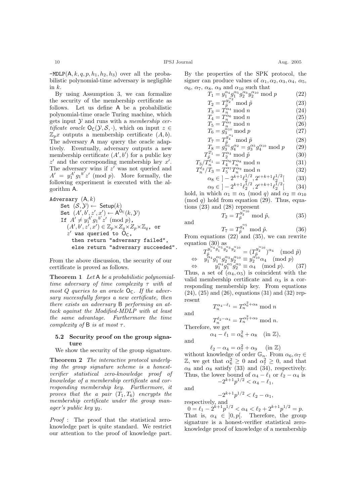By using Assumption 3, we can formalize the security of the membership certificate as follows. Let us define A be a probabilistic polynomial-time oracle Turing machine, which gets input  $Y$  and runs with a *membership cer*tificate oracle  $O_C(\mathcal{Y}, \mathcal{S}, \cdot)$ , which on input  $z \in$  $\mathbb{Z}_p x$  outputs a membership certificate  $(A, b)$ . The adversary A may query the oracle adaptively. Eventually, adversary outputs a new membership certificate  $(A', b')$  for a public key  $z'$  and the corresponding membership key  $x'$ . The adversary wins if  $z'$  was not queried and  $A' = y_1^{A'} g_1^{b'} z' \pmod{p}$ . More formally, the following experiment is executed with the algorithm A.

$$
\begin{array}{ll}\text{Adversary (A, }k) & \\ \text{Set } (\mathcal{S}, \mathcal{Y}) \leftarrow \text{Setup}(k) & \\ \text{Set } (A', b', z', x') \leftarrow \mathsf{A^{O_C}}(k, \mathcal{Y}) & \\ \text{If } A' \neq y_1^{A'} g_1^{b'} z' \pmod{p}, & \\ (A', b', z', x') \in \mathbb{Z}_p \times Z_q \times Z_p \times \mathbb{Z}_q, \text{ or } \\ z' \text{ was queried to } \mathsf{O_C}, & \\ \text{then return "adversary failed",} & \\ \text{else return "adversary succeeded".} & \end{array}
$$

From the above discussion, the security of our certificate is proved as follows.

Theorem 1 Let A be a probabilistic polynomialtime adversary of time complexity  $\tau$  with at most Q queries to an oracle  $O<sub>C</sub>$ . If the adversary successfully forges a new certificate, then there exists an adversary B performing an attack against the Modified-MDLP with at least the same advantage. Furthermore the time complexity of  $B$  is at most  $\tau$ .

### 5.2 Security proof on the group signature

We show the security of the group signature.

Theorem 2 The interactive protocol underlying the group signature scheme is a honestverifier statistical zero-knowledge proof of knowledge of a membership certificate and corresponding membership key. Furthermore, it proves that the a pair  $(T_1, T_6)$  encrypts the membership certificate under the group manager's public key  $y_2$ .

Proof : The proof that the statistical zeroknowledge part is quite standard. We restrict our attention to the proof of knowledge part.  $\alpha_6$ ,  $\alpha_7$ ,  $\alpha_8$ ,  $\alpha_9$  and  $\alpha_{10}$  such that  $T_1 = y_1^{\alpha_4} g_1^{\alpha_5} g_2^{\alpha_3} y_2^{\alpha_{10}} \text{ mod } p$  (22)  $T_2 = T_{\tilde{p}}^{y_2^{2\tilde{2}}} \mod \tilde{p}$ (23)  $T_3 = T_n^{\alpha_4} \text{ mod } n$  (24)  $T_4 = T_n^{\alpha_6} \text{ mod } n$  (25)  $T_5 = T_n^{\alpha_7} \text{ mod } n$  (26)  $T_6 = g_{3}^{\alpha_{10}} \mod p$  (27)

$$
T_7 = T_{\tilde{p}}^{g_{41}} \mod \tilde{p}
$$
  
\n
$$
T_8 = g_3^{\alpha_1} g_4^{\alpha_2} = g_3^{\alpha_5} g_4^{\alpha_{10}} \mod p
$$
 (29)  
\n
$$
T_{\tilde{p}}^{T_1} = T_2^{\alpha_4} \mod \tilde{p}
$$
 (30)

$$
T_{\tilde{p}}^{T_1} = T_2^{\alpha_4} \mod \tilde{p}
$$
 (30)  

$$
T_3/T_n^{\ell_1} = T_4^{\alpha_6} T_n^{\alpha_8} \mod n
$$
 (31)

$$
T_n^{\ell_2}/T_3 = T_5^{\alpha \tau} T_n^{\alpha_9} \mod n \tag{32}
$$

$$
\alpha_8 \in \left] -2^{k+1} \ell_2^{1/2}, 2^{\epsilon+k+1} \ell_2^{1/2} \right[ \qquad (33)
$$
  
\n
$$
\alpha_9 \in \left] -2^{k+1} \ell_2^{1/2}, 2^{\epsilon+k+1} \ell_2^{1/2} \right[ \qquad (34)
$$

hold, in which  $\alpha_1 \equiv \alpha_5 \pmod{q}$  and  $\alpha_2 \equiv \alpha_{10}$  $(mod q)$  hold from equation (29). Thus, equations (23) and (28) represent

$$
T_2 = T_{\tilde{p}}^{\frac{\alpha_{\alpha_{10}}}{2}} \text{ mod } \tilde{p},\tag{35}
$$

and

$$
T_7 = T_{\tilde{p}}^{g_4^{\alpha_5}} \mod \tilde{p}.
$$
  
ations (22) and (35), we can rewrite

From equa equation  $(30)$  as<br> $\pi y_1^{\alpha_4} g_1^{\alpha_5} g_2^{\alpha_3} y_2^{\alpha_{10}}$  $\alpha_{10}$ 

$$
T_{\tilde{p}}^{y_1^{a_4}g_1^{a_5}g_2^{a_3}y_2^{a_{10}}} = (T_{\tilde{p}}^{y_2^{a_1}})^{\alpha_4} \pmod{\tilde{p}}
$$
  
\n
$$
\Leftrightarrow \quad y_1^{\alpha_4}g_1^{\alpha_5}g_2^{\alpha_3}y_2^{\alpha_{10}} \equiv y_2^{\alpha_{10}}\alpha_4 \pmod{p}
$$
  
\n
$$
\Leftrightarrow \quad y_1^{\alpha_4}g_1^{\alpha_5}g_2^{\alpha_3} \equiv \alpha_4 \pmod{p}.
$$
 (37)

⇔ y Thus, a set of  $(\alpha_4, \alpha_5)$  is coincident with the valid membership certificate and  $\alpha_3$  is a corresponding membership key. From equations  $(24)$ ,  $(25)$  and  $(26)$ , equations  $(31)$  and  $(32)$  represent

 $T_n^{\alpha_4-\ell_1} = T_n^{\alpha_6^2+\alpha_8} \mod n$ 

and

 $T_n^{\ell_2-\alpha_4} = T_n^{\alpha_7^2+\alpha_9} \mod n.$ Therefore, we get

and

$$
\ell_2 - \alpha_4 = \alpha_7^2 + \alpha_9 \quad (\text{in } \mathbb{Z})
$$

 $\alpha_4 - \ell_1 = \alpha_6^2 + \alpha_8 \quad ($ in Z),

without knowledge of order  $\mathbb{G}_n$ . From  $\alpha_6, \alpha_7 \in$ Z, we get that  $\alpha_6^2 \geq 0$  and  $\alpha_7^2 \geq 0$ , and that  $\alpha_8$  and  $\alpha_8$  satisfy (33) and (34), respectively. Thus, the lower bound of  $\alpha_4 - \ell_1$  or  $\ell_2 - \alpha_4$  is  $-2^{k+1}p^{1/2} < \alpha_4 - \ell_1,$ 

and

$$
-2^{k+1}p^{1/2} < \ell_2 - \alpha_1,
$$

respectively, and  $0 = \ell_1 - 2^{k+1}p^{1/2} < \alpha_4 < \ell_2 + 2^{k+1}p^{1/2} = p.$ That is,  $\alpha_4 \in [0, p]$ . Therefore, the group signature is a honest-verifier statistical zeroknowledge proof of knowledge of a membership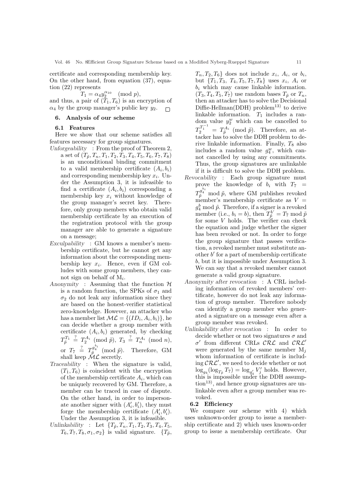certificate and corresponding membership key. On the other hand, from equation (37), equation (22) represents

$$
T_1 = \alpha_4 y_2^{\alpha_{10}} \pmod{p},
$$

 $I_1 = \alpha_4 y_2$  (mod p),<br>and thus, a pair of  $(T_1, T_6)$  is an encryption of  $\alpha_4$  by the group manager's public key  $y_2$ .  $\Box$ 

## 6. Analysis of our scheme

## 6.1 Features

Here we show that our scheme satisfies all features necessary for group signatures.

- Unforgeability : From the proof of Theorem 2, a set of  $(T_{\tilde{p}}, T_n, T_1, T_2, T_3, T_4, T_5, T_6, T_7, T_8)$ is an unconditional binding commitment to a valid membership certificate  $(A_i, b_i)$ and corresponding membership key  $x_i$ . Under the Assumption 3, it is infeasible to find a certificate  $(A_i, b_i)$  corresponding a membership key  $x_i$  without knowledge of the group manager's secret key. Therefore, only group members who obtain valid membership certificate by an execution of the registration protocol with the group manager are able to generate a signature on a message;
- Exculpability : GM knows a member's membership certificate, but he cannot get any information about the corresponding membership key  $x_i$ . Hence, even if GM colludes with some group members, they cannot sign on behalf of  $M_i$ .
- Anonymity : Assuming that the function  $\mathcal H$ is a random function, the SPKs of  $\sigma_1$  and  $\sigma_2$  do not leak any information since they are based on the honest-verifier statistical zero-knowledge. However, an attacker who has a member list  $\mathcal{ML} = \{ (ID_i, A_i, b_i) \},\$ he can decide whether a group member with certificate  $(A_i, b_i)$  generated, by checking  $T_{\tilde{p}}^{T_1} \stackrel{?}{=} T_2^{A_i} \pmod{\tilde{p}}, \; T_3 \stackrel{?}{=} T_n^{A_i} \pmod{n},$ or  $T_7 \stackrel{?}{=} T_{\tilde{p}}^{g_4^{b_i}} \pmod{\tilde{p}}$ . Therefore, GM

shall keep  $\mathcal{ML}$  secretly.

- Traceability : When the signature is valid,  $(T_1, T_6)$  is coincident with the encryption of the membership certificate  $A_i$ , which can be uniquely recovered by GM. Therefore, a member can be traced in case of dispute. On the other hand, in order to impersonate another signer with  $(A'_i, b'_i)$ , they must forge the membership certificate  $(A'_i, b'_i)$ . Under the Assumption 3, it is infeasible.
- Unlinkability : Let  $\{T_{\tilde{p}}, T_n, T_1, T_2, T_3, T_4, T_5,$  $T_6, T_7, T_8, \sigma_1, \sigma_2$  is valid signature.  $\{T_{\tilde{p}},$

 $T_n, T_2, T_6$  does not include  $x_i$ ,  $A_i$ , or  $b_i$ , but  ${T_1, T_3, T_4, T_5, T_7, T_8}$  uses  $x_i$ ,  $A_i$  or  $b_i$  which may cause linkable information.  $(T_3, T_4, T_5, T_7)$  use random bases  $T_{\tilde{p}}$  or  $T_n$ , then an attacker has to solve the Decisional Diffie-Hellman(DDH) problem<sup>13)</sup> to derive linkable information.  $T_1$  includes a random value  $y_2^w$  which can be cancelled to  $T_2^{T_1^{-1}} = T_{\tilde{p}}^{A_i} \pmod{\tilde{p}}$ . Therefore, an attacker has to solve the DDH problem to derive linkable information. Finally,  $T_8$  also includes a random value  $g_4^w$ , which cannot cancelled by using any commitments. Thus, the group signatures are unlinkable if it is difficult to solve the DDH problem.

- Revocability : Each group signature must prove the knowledge of  $b_i$  with  $T_7$  =  $T_{\tilde{p}}^{a_4^{b_4}}$  mod  $\tilde{p}$ , where GM publishes revoked member's membership certificate as  $V =$  $g_4^b \mod \tilde{p}$ . Therefore, if a signer is a revoked member (i.e.,  $b_i = b$ ), then  $T_{\tilde{p}}^V = T_7 \text{ mod } \tilde{p}$ for some V holds. The verifier can check the equation and judge whether the signer has been revoked or not. In order to forge the group signature that passes verification, a revoked member must substitute another  $b'$  for a part of membership certificate b, but it is impossible under Assumption 3. We can say that a revoked member cannot generate a valid group signature.
- Anonymity after revocation : A CRL including information of revoked members' certificate, however do not leak any information of group member. Therefore nobody can identify a group member who generated a signature on a message even after a group member was revoked.
- Unlinkability after revocation : In order to decide whether or not two signatures  $\sigma$  and  $\sigma'$  from different CRLs  $\mathcal{CRL}$  and  $\mathcal{CRL}'$ were generated by the same member  $M_i$ whom information of certificate is including  $\mathcal{CRL}'$ , we need to decide whether or not  $\log_{g_4}(\log_{T_{\tilde{p}}} T_7) = \log_{g'_4} V'_j$  holds. However, this is impossible under the DDH assump- $\text{tion}^{13}$ , and hence group signatures are unlinkable even after a group member was revoked.

## 6.2 Efficiency

We compare our scheme with 4) which uses unknown-order group to issue a membership certificate and 2) which uses known-order group to issue a membership certificate. Our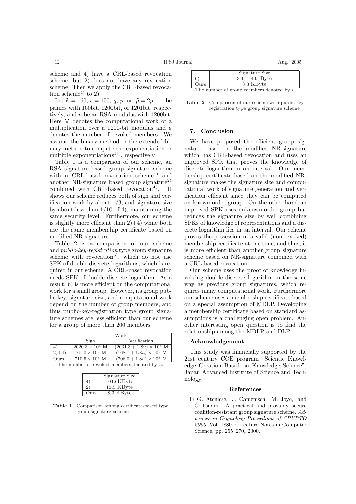scheme and 4) have a CRL-based revocation scheme, but 2) does not have any revocation scheme. Then we apply the CRL-based revocation scheme<sup>4)</sup> to 2).

Let  $k = 160, \epsilon = 150, q, p, \text{or}, \tilde{p} = 2p + 1$  be primes with 160bit, 1200bit, or 1201bit, respectively, and n be an RSA modulus with 1200bit. Here M denotes the computational work of a multiplication over a 1200-bit modulus and  $u$ denotes the number of revoked members. We assume the binary method or the extended binary method to compute the exponentiation or multiple exponentiations<sup>15)</sup>, respectively.

Table 1 is a comparison of our scheme, an RSA signature based group signature scheme with a CRL-based revocation scheme<sup>4)</sup> and another NR-signature based group signature<sup>2)</sup> combined with CRL-based revocation<sup>4)</sup>. It shows our scheme reduces both of sign and verification work by about 1/3, and signature size by about less than 1/10 of 4), maintaining the same security level. Furthermore, our scheme is slightly more efficient than  $2+4$ ) while both use the same membership certificate based on modified NR-signature.

Table 2 is a comparison of our scheme and public-key-registration type group signature scheme with revocation<sup>6)</sup>, which do not use SPK of double discrete logarithms, which is required in our scheme. A CRL-based revocation needs SPK of double discrete logarithm. As a result, 6) is more efficient on the computational work for a small group. However, its group public key, signature size, and computational work depend on the number of group members, and thus public-key-registration type group signature schemes are less efficient than our scheme for a group of more than 200 members.

|                  |                        | Work                            |
|------------------|------------------------|---------------------------------|
|                  | Sign                   | Verification                    |
|                  | $2020.3 \times 10^3$ M | $(2031.3 + 1.8u) \times 10^3$ M |
| $2)+4)$          | $761.0 \times 10^3$ M  | $(768.7 + 1.8u) \times 10^3$ M  |
| O <sub>urs</sub> | $710.5 \times 10^3$ M  | $(706.0 + 1.8u) \times 10^3$ M  |

The number of revoked members denoted by  $u$ .

|              | Signature Size |
|--------------|----------------|
|              | $101.6KB$ vte  |
| $2^{\prime}$ | 10.5 KByte     |
| Ours         | $8.3$ KByte    |

Table 1 Comparison among certificate-based type group signature schemes

|                                              | Signature Size   |  |
|----------------------------------------------|------------------|--|
|                                              | $340 + 40v$ Byte |  |
| Ours                                         | 8.3 KByte        |  |
| The number of group members denoted by $v$ . |                  |  |

Table 2 Comparison of our scheme with public-keyregistration type group signature scheme

#### 7. Conclusion

We have proposed the efficient group signature based on the modified NR-signature which has CRL-based revocation and uses an improved SPK that proves the knowledge of discrete logarithm in an interval. Our membership certificate based on the modified NRsignature makes the signature size and computational work of signature generation and verification efficient since they can be computed on known-order group. On the other hand an improved SPK uses unknown-order group but reduces the signature size by well combining SPKs of knowledge of representations and a discrete logarithm lies in an interval. Our scheme proves the possession of a valid (non-revoked) membership certificate at one time, and thus, it is more efficient than another group signature scheme based on NR-signature combined with a CRL-based revocation.

Our scheme uses the proof of knowledge involving double discrete logarithm in the same way as previous group signatures, which requires many computational work. Furthermore our scheme uses a membership certificate based on a special assumption of MDLP. Developing a membership certificate based on standard assumptions is a challenging open problem. Another interesting open question is to find the relationship among the MDLP and DLP.

## Acknowledgement

This study was financially supported by the 21st century COE program "Scientic Knowledge Creation Based on Knowledge Science", Japan Advanced Institute of Science and Technology.

#### References

1) G. Ateniese, J. Camenisch, M. Joye, and G. Tsudik. A practical and provably secure coalition-resistant group signature scheme. Advances in Cryptology-Proceedings of CRYPTO 2000, Vol. 1880 of Lecture Notes in Computer Science, pp. 255–270, 2000.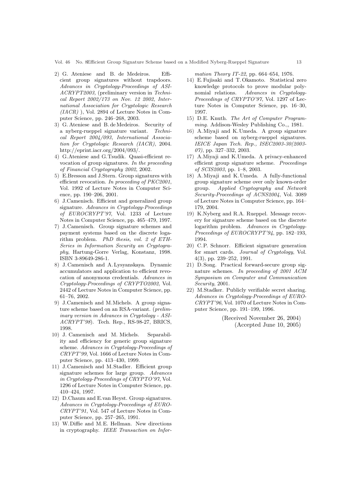- 2) G. Ateniese and B. de Medeiros. Efficient group signatures without trapdoors. Advances in Cryptology-Proceedings of ASI-ACRYPT2003, (preliminary version in Technical Report 2002/173 on Nov. 12 2002, International Association for Cryptologic Research (IACR) ), Vol. 2894 of Lecture Notes in Computer Science, pp. 246–268, 2003.
- 3) G. Ateniese and B. de Medeiros. Security of a nyberg-rueppel signature variant. Technical Report 2004/093, International Association for Cryptologic Research (IACR), 2004. http://eprint.iacr.org/2004/093/.
- 4) G.Ateniese and G.Tsudik. Quasi-efficient revocation of group signatures. In the proceeding of Financial Cryptography 2002, 2002.
- 5) E.Bresson and J.Stern. Group signatures with efficient revocation. In proceeding of PKC2001, Vol. 1992 of Lecture Notes in Computer Science, pp. 190–206, 2001.
- 6) J.Camenisch. Efficient and generalized group signature. Advances in Cryptology-Proceedings of EUROCRYPT'97, Vol. 1233 of Lecture Notes in Computer Science, pp. 465–479, 1997.
- 7) J.Camenisch. Group signature schemes and payment systems based on the discrete logarithm problem. PhD thesis, vol. 2 of ETH-Series in Information Security an Cryptography, Hartung-Gorre Verlag, Konstanz, 1998. ISBN 3-89649-286-1.
- 8) J. Camenisch and A. Lysyanskaya. Dynamic accumulators and application to efficient revocation of anonymous credentials. Advances in Cryptology-Proceedings of CRYPTO2002, Vol. 2442 of Lecture Notes in Computer Science, pp. 61–76, 2002.
- 9) J.Camenisch and M.Michels. A group signature scheme based on an RSA-variant. (preliminary version in Advances in Cryptology - ASI-ACRYPT'98). Tech. Rep., RS-98-27, BRICS, 1998.
- 10) J. Camenisch and M. Michels. Separability and efficiency for generic group signature scheme. Advances in Cryptology-Proceedings of CRYPT'99, Vol. 1666 of Lecture Notes in Computer Science, pp. 413–430, 1999.
- 11) J.Camenisch and M.Stadler. Efficient group signature schemes for large group. Advances in Cryptology-Proceedings of CRYPTO'97, Vol. 1296 of Lecture Notes in Computer Science, pp. 410–424, 1997.
- 12) D.Chaum and E.van Heyst. Group signatures. Advances in Cryptology-Proceedings of EURO-CRYPT'91, Vol. 547 of Lecture Notes in Computer Science, pp. 257–265, 1991.
- 13) W.Diffie and M.E. Hellman. New directions in cryptography. IEEE Transaction on Infor-

mation Theory IT-22, pp. 664–654, 1976.

- 14) E.Fujisaki and T.Okamoto. Statistical zero knowledge protocols to prove modular polynomial relations. Advances in Cryptology-Proceedings of CRYPTO'97, Vol. 1297 of Lecture Notes in Computer Science, pp. 16–30, 1997.
- 15) D.E. Knuth. The Art of Computer Programming. Addison-Wesley Publishing Co.,, 1981.
- 16) A.Miyaji and K.Umeda. A group signature scheme based on nyberg-rueppel signatures. IEICE Japan Tech. Rep., ISEC2003-30(2003- 07), pp. 327–332, 2003.
- 17) A.Miyaji and K.Umeda. A privacy-enhanced efficient group signature scheme. Proceedings of SCIS2003, pp. 1–8, 2003.
- 18) A.Miyaji and K. Umeda. A fully-functional group signature scheme over only known-order group. Applied Cryptography and Network Security-Proceedings of ACNS2004, Vol. 3089 of Lecture Notes in Computer Science, pp. 164– 179, 2004.
- 19) K.Nyberg and R.A. Rueppel. Message recovery for signature scheme based on the discrete logarithm problem. Advances in Cryptology-Proceedings of EUROCRYPT'94, pp. 182-193, 1994.
- 20) C.P. Schnorr. Efficient signature generation for smart cards. Journal of Cryptology, Vol. 4(3), pp. 239–252, 1991.
- 21) D.Song. Practical forward-secure group signature schemes. In proceeding of 2001 ACM Symposium on Computer and Communication Security, 2001.
- 22) M.Stadker. Publicly verifiable secret sharing. Advances in Cryptology-Proceedings of EURO-CRYPT'96, Vol. 1070 of Lecture Notes in Computer Science, pp. 191–199, 1996.

(Received November 26, 2004) (Accepted June 10, 2005)